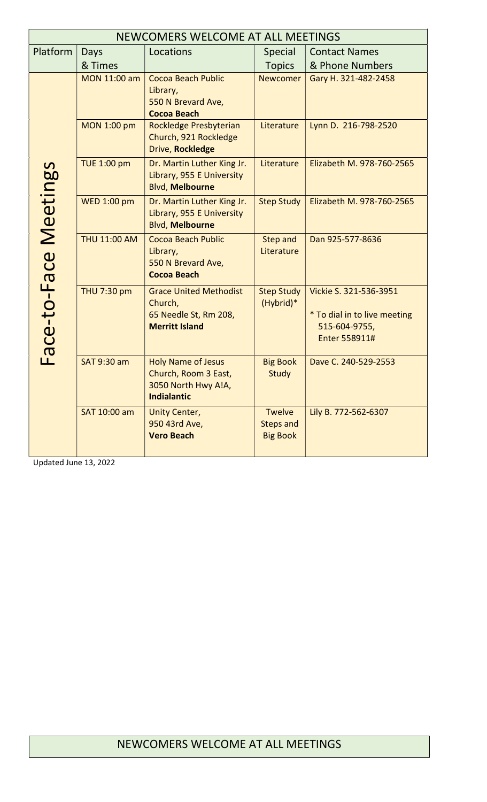| NEWCOMERS WELCOME AT ALL MEETINGS |                     |                                                                                                |                                                      |                                                                                          |  |  |  |
|-----------------------------------|---------------------|------------------------------------------------------------------------------------------------|------------------------------------------------------|------------------------------------------------------------------------------------------|--|--|--|
| Platform                          | Days                | Locations                                                                                      | <b>Special</b>                                       | <b>Contact Names</b>                                                                     |  |  |  |
|                                   | & Times             |                                                                                                | <b>Topics</b>                                        | & Phone Numbers                                                                          |  |  |  |
| Face-to-Face Meetings             | MON 11:00 am        | Cocoa Beach Public<br>Library,<br>550 N Brevard Ave,<br><b>Cocoa Beach</b>                     | <b>Newcomer</b>                                      | Gary H. 321-482-2458                                                                     |  |  |  |
|                                   | <b>MON 1:00 pm</b>  | Rockledge Presbyterian<br>Church, 921 Rockledge<br>Drive, Rockledge                            | Literature                                           | Lynn D. 216-798-2520                                                                     |  |  |  |
|                                   | <b>TUE 1:00 pm</b>  | Dr. Martin Luther King Jr.<br>Library, 955 E University<br><b>Blvd, Melbourne</b>              | Literature                                           | Elizabeth M. 978-760-2565                                                                |  |  |  |
|                                   | <b>WED 1:00 pm</b>  | Dr. Martin Luther King Jr.<br>Library, 955 E University<br><b>Blvd, Melbourne</b>              | <b>Step Study</b>                                    | Elizabeth M. 978-760-2565                                                                |  |  |  |
|                                   | <b>THU 11:00 AM</b> | Cocoa Beach Public<br>Library,<br>550 N Brevard Ave,<br><b>Cocoa Beach</b>                     | <b>Step and</b><br>Literature                        | Dan 925-577-8636                                                                         |  |  |  |
|                                   | THU 7:30 pm         | <b>Grace United Methodist</b><br>Church,<br>65 Needle St, Rm 208,<br><b>Merritt Island</b>     | <b>Step Study</b><br>(Hybrid)*                       | Vickie S. 321-536-3951<br>* To dial in to live meeting<br>515-604-9755,<br>Enter 558911# |  |  |  |
|                                   | <b>SAT 9:30 am</b>  | <b>Holy Name of Jesus</b><br>Church, Room 3 East,<br>3050 North Hwy A!A,<br><b>Indialantic</b> | <b>Big Book</b><br><b>Study</b>                      | Dave C. 240-529-2553                                                                     |  |  |  |
|                                   | SAT 10:00 am        | <b>Unity Center,</b><br>950 43rd Ave,<br><b>Vero Beach</b>                                     | <b>Twelve</b><br><b>Steps and</b><br><b>Big Book</b> | Lily B. 772-562-6307                                                                     |  |  |  |

Updated June 13, 2022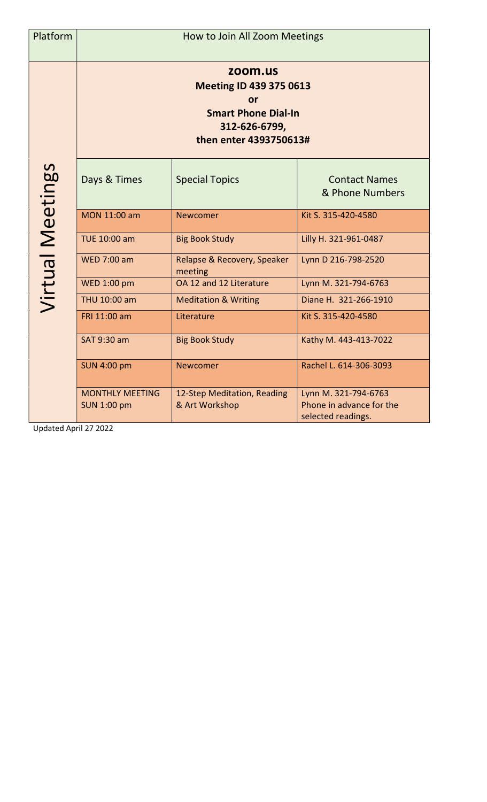| Platform         | How to Join All Zoom Meetings                                                                                            |                                               |                                                                        |  |  |  |
|------------------|--------------------------------------------------------------------------------------------------------------------------|-----------------------------------------------|------------------------------------------------------------------------|--|--|--|
| Virtual Meetings | zoom.us<br><b>Meeting ID 439 375 0613</b><br>or<br><b>Smart Phone Dial-In</b><br>312-626-6799,<br>then enter 4393750613# |                                               |                                                                        |  |  |  |
|                  | Days & Times                                                                                                             | <b>Special Topics</b>                         | <b>Contact Names</b><br>& Phone Numbers                                |  |  |  |
|                  | MON 11:00 am                                                                                                             | <b>Newcomer</b>                               | Kit S. 315-420-4580                                                    |  |  |  |
|                  | TUE 10:00 am                                                                                                             | <b>Big Book Study</b>                         | Lilly H. 321-961-0487                                                  |  |  |  |
|                  | <b>WED 7:00 am</b>                                                                                                       | Relapse & Recovery, Speaker<br>meeting        | Lynn D 216-798-2520                                                    |  |  |  |
|                  | <b>WED 1:00 pm</b>                                                                                                       | OA 12 and 12 Literature                       | Lynn M. 321-794-6763                                                   |  |  |  |
|                  | THU 10:00 am                                                                                                             | <b>Meditation &amp; Writing</b>               | Diane H. 321-266-1910                                                  |  |  |  |
|                  | FRI 11:00 am                                                                                                             | Literature                                    | Kit S. 315-420-4580                                                    |  |  |  |
|                  | SAT 9:30 am                                                                                                              | <b>Big Book Study</b>                         | Kathy M. 443-413-7022                                                  |  |  |  |
|                  | <b>SUN 4:00 pm</b>                                                                                                       | <b>Newcomer</b>                               | Rachel L. 614-306-3093                                                 |  |  |  |
|                  | <b>MONTHLY MEETING</b><br><b>SUN 1:00 pm</b>                                                                             | 12-Step Meditation, Reading<br>& Art Workshop | Lynn M. 321-794-6763<br>Phone in advance for the<br>selected readings. |  |  |  |

Updated April 27 2022